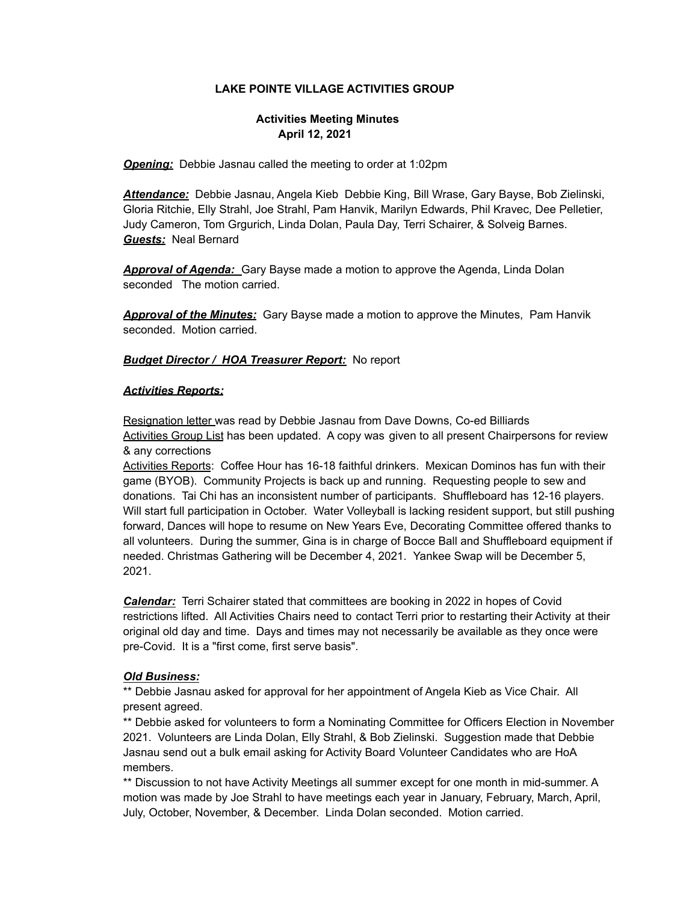### **LAKE POINTE VILLAGE ACTIVITIES GROUP**

# **Activities Meeting Minutes April 12, 2021**

*Opening:* Debbie Jasnau called the meeting to order at 1:02pm

*Attendance:* Debbie Jasnau, Angela Kieb Debbie King, Bill Wrase, Gary Bayse, Bob Zielinski, Gloria Ritchie, Elly Strahl, Joe Strahl, Pam Hanvik, Marilyn Edwards, Phil Kravec, Dee Pelletier, Judy Cameron, Tom Grgurich, Linda Dolan, Paula Day, Terri Schairer, & Solveig Barnes. *Guests:* Neal Bernard

*Approval of Agenda:* Gary Bayse made a motion to approve the Agenda, Linda Dolan seconded The motion carried.

*Approval of the Minutes:* Gary Bayse made a motion to approve the Minutes, Pam Hanvik seconded. Motion carried.

#### *Budget Director / HOA Treasurer Report:* No report

#### *Activities Reports:*

Resignation letter was read by Debbie Jasnau from Dave Downs, Co-ed Billiards Activities Group List has been updated. A copy was given to all present Chairpersons for review & any corrections

Activities Reports: Coffee Hour has 16-18 faithful drinkers. Mexican Dominos has fun with their game (BYOB). Community Projects is back up and running. Requesting people to sew and donations. Tai Chi has an inconsistent number of participants. Shuffleboard has 12-16 players. Will start full participation in October. Water Volleyball is lacking resident support, but still pushing forward, Dances will hope to resume on New Years Eve, Decorating Committee offered thanks to all volunteers. During the summer, Gina is in charge of Bocce Ball and Shuffleboard equipment if needed. Christmas Gathering will be December 4, 2021. Yankee Swap will be December 5, 2021.

*Calendar:* Terri Schairer stated that committees are booking in 2022 in hopes of Covid restrictions lifted. All Activities Chairs need to contact Terri prior to restarting their Activity at their original old day and time. Days and times may not necessarily be available as they once were pre-Covid. It is a "first come, first serve basis".

#### *Old Business:*

\*\* Debbie Jasnau asked for approval for her appointment of Angela Kieb as Vice Chair. All present agreed.

\*\* Debbie asked for volunteers to form a Nominating Committee for Officers Election in November 2021. Volunteers are Linda Dolan, Elly Strahl, & Bob Zielinski. Suggestion made that Debbie Jasnau send out a bulk email asking for Activity Board Volunteer Candidates who are HoA members.

\*\* Discussion to not have Activity Meetings all summer except for one month in mid-summer. A motion was made by Joe Strahl to have meetings each year in January, February, March, April, July, October, November, & December. Linda Dolan seconded. Motion carried.